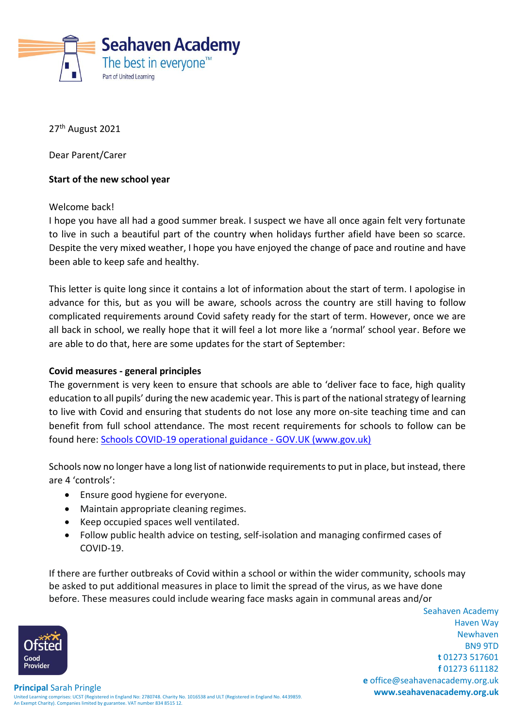

27<sup>th</sup> August 2021

Dear Parent/Carer

## **Start of the new school year**

Welcome back!

I hope you have all had a good summer break. I suspect we have all once again felt very fortunate to live in such a beautiful part of the country when holidays further afield have been so scarce. Despite the very mixed weather, I hope you have enjoyed the change of pace and routine and have been able to keep safe and healthy.

This letter is quite long since it contains a lot of information about the start of term. I apologise in advance for this, but as you will be aware, schools across the country are still having to follow complicated requirements around Covid safety ready for the start of term. However, once we are all back in school, we really hope that it will feel a lot more like a 'normal' school year. Before we are able to do that, here are some updates for the start of September:

#### **Covid measures - general principles**

The government is very keen to ensure that schools are able to 'deliver face to face, high quality education to all pupils' during the new academic year. This is part of the national strategy of learning to live with Covid and ensuring that students do not lose any more on-site teaching time and can benefit from full school attendance. The most recent requirements for schools to follow can be found here: [Schools COVID-19 operational guidance -](https://www.gov.uk/government/publications/actions-for-schools-during-the-coronavirus-outbreak/schools-covid-19-operational-guidance) GOV.UK (www.gov.uk)

Schools now no longer have a long list of nationwide requirements to put in place, but instead, there are 4 'controls':

- Ensure good hygiene for everyone.
- Maintain appropriate cleaning regimes.
- Keep occupied spaces well ventilated.
- Follow public health advice on testing, self-isolation and managing confirmed cases of COVID-19.

If there are further outbreaks of Covid within a school or within the wider community, schools may be asked to put additional measures in place to limit the spread of the virus, as we have done before. These measures could include wearing face masks again in communal areas and/or

Seahaven Academy Haven Way Newhaven BN9 9TD **t** 01273 517601 **f** 01273 611182 **e** office@seahavenacademy.org.uk

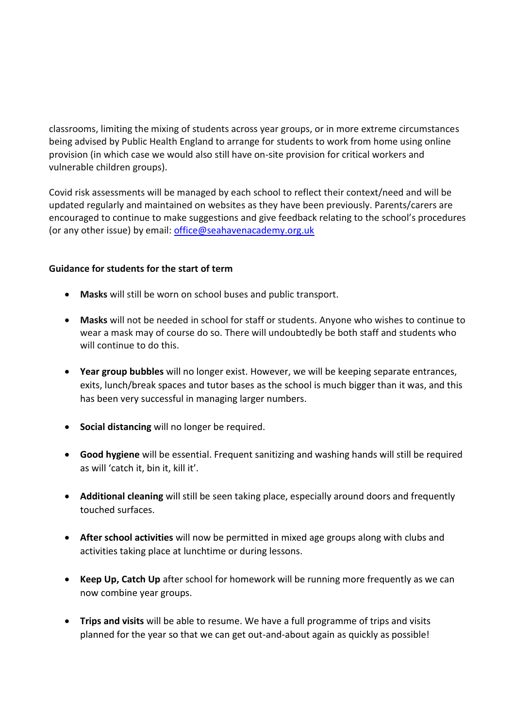classrooms, limiting the mixing of students across year groups, or in more extreme circumstances being advised by Public Health England to arrange for students to work from home using online provision (in which case we would also still have on-site provision for critical workers and vulnerable children groups).

Covid risk assessments will be managed by each school to reflect their context/need and will be updated regularly and maintained on websites as they have been previously. Parents/carers are encouraged to continue to make suggestions and give feedback relating to the school's procedures (or any other issue) by email: [office@seahavenacademy.org.uk](mailto:office@seahavenacademy.org.uk)

# **Guidance for students for the start of term**

- **Masks** will still be worn on school buses and public transport.
- **Masks** will not be needed in school for staff or students. Anyone who wishes to continue to wear a mask may of course do so. There will undoubtedly be both staff and students who will continue to do this.
- **Year group bubbles** will no longer exist. However, we will be keeping separate entrances, exits, lunch/break spaces and tutor bases as the school is much bigger than it was, and this has been very successful in managing larger numbers.
- **Social distancing** will no longer be required.
- **Good hygiene** will be essential. Frequent sanitizing and washing hands will still be required as will 'catch it, bin it, kill it'.
- **Additional cleaning** will still be seen taking place, especially around doors and frequently touched surfaces.
- **After school activities** will now be permitted in mixed age groups along with clubs and activities taking place at lunchtime or during lessons.
- **Keep Up, Catch Up** after school for homework will be running more frequently as we can now combine year groups.
- **Trips and visits** will be able to resume. We have a full programme of trips and visits planned for the year so that we can get out-and-about again as quickly as possible!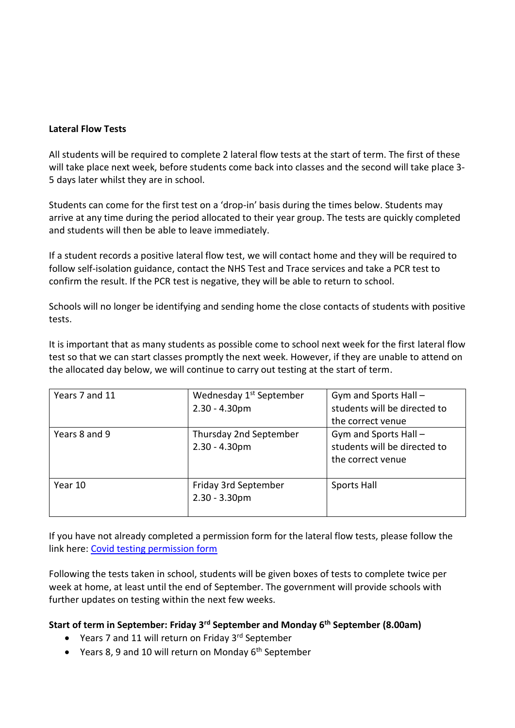## **Lateral Flow Tests**

All students will be required to complete 2 lateral flow tests at the start of term. The first of these will take place next week, before students come back into classes and the second will take place 3- 5 days later whilst they are in school.

Students can come for the first test on a 'drop-in' basis during the times below. Students may arrive at any time during the period allocated to their year group. The tests are quickly completed and students will then be able to leave immediately.

If a student records a positive lateral flow test, we will contact home and they will be required to follow self-isolation guidance, contact the NHS Test and Trace services and take a PCR test to confirm the result. If the PCR test is negative, they will be able to return to school.

Schools will no longer be identifying and sending home the close contacts of students with positive tests.

It is important that as many students as possible come to school next week for the first lateral flow test so that we can start classes promptly the next week. However, if they are unable to attend on the allocated day below, we will continue to carry out testing at the start of term.

| Years 7 and 11 | Wednesday 1 <sup>st</sup> September<br>$2.30 - 4.30pm$ | Gym and Sports Hall -<br>students will be directed to<br>the correct venue |
|----------------|--------------------------------------------------------|----------------------------------------------------------------------------|
| Years 8 and 9  | Thursday 2nd September<br>$2.30 - 4.30pm$              | Gym and Sports Hall -<br>students will be directed to<br>the correct venue |
| Year 10        | Friday 3rd September<br>$2.30 - 3.30$ pm               | Sports Hall                                                                |

If you have not already completed a permission form for the lateral flow tests, please follow the link here: [Covid testing permission form](https://forms.office.com/Pages/ResponsePage.aspx?id=u9aWExWnNUm4gYTW2Uobp3JDJMp_cqJNtJV8JB2U91hUOVpFT0lUSlhDUUtDUU1MSEIwU0dXV0xSVi4u)

Following the tests taken in school, students will be given boxes of tests to complete twice per week at home, at least until the end of September. The government will provide schools with further updates on testing within the next few weeks.

# **Start of term in September: Friday 3rd September and Monday 6th September (8.00am)**

- Years 7 and 11 will return on Friday 3rd September
- Years 8, 9 and 10 will return on Monday 6<sup>th</sup> September